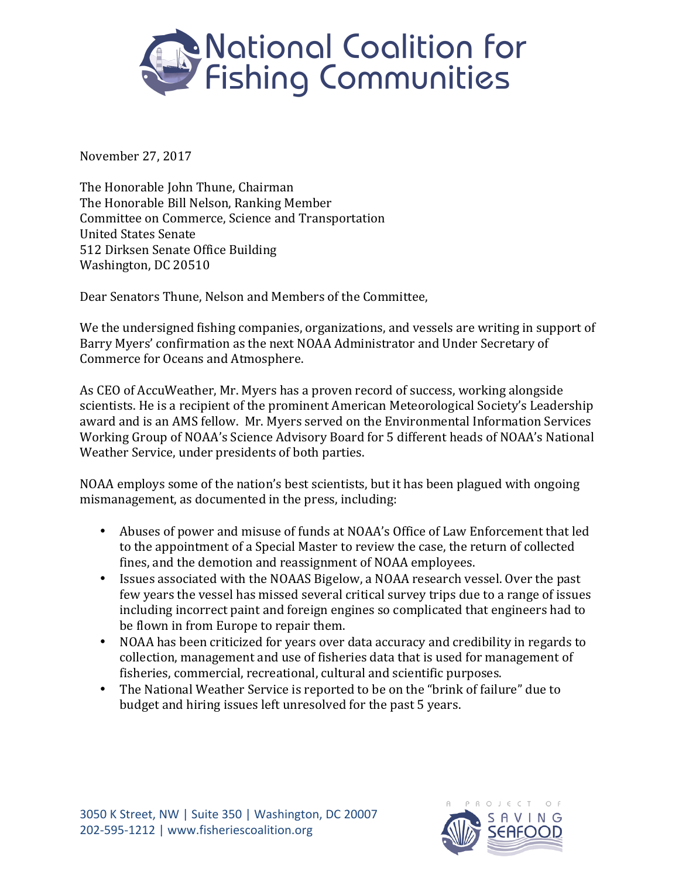

November 27, 2017

The Honorable John Thune, Chairman The Honorable Bill Nelson, Ranking Member Committee on Commerce, Science and Transportation United States Senate 512 Dirksen Senate Office Building Washington, DC 20510

Dear Senators Thune, Nelson and Members of the Committee,

We the undersigned fishing companies, organizations, and vessels are writing in support of Barry Myers' confirmation as the next NOAA Administrator and Under Secretary of Commerce for Oceans and Atmosphere.

As CEO of AccuWeather, Mr. Myers has a proven record of success, working alongside scientists. He is a recipient of the prominent American Meteorological Society's Leadership award and is an AMS fellow. Mr. Myers served on the Environmental Information Services Working Group of NOAA's Science Advisory Board for 5 different heads of NOAA's National Weather Service, under presidents of both parties.

NOAA employs some of the nation's best scientists, but it has been plagued with ongoing mismanagement, as documented in the press, including:

- Abuses of power and misuse of funds at NOAA's Office of Law Enforcement that led to the appointment of a Special Master to review the case, the return of collected fines, and the demotion and reassignment of NOAA employees.
- Issues associated with the NOAAS Bigelow, a NOAA research vessel. Over the past few years the vessel has missed several critical survey trips due to a range of issues including incorrect paint and foreign engines so complicated that engineers had to be flown in from Europe to repair them.
- NOAA has been criticized for years over data accuracy and credibility in regards to collection, management and use of fisheries data that is used for management of fisheries, commercial, recreational, cultural and scientific purposes.
- The National Weather Service is reported to be on the "brink of failure" due to budget and hiring issues left unresolved for the past 5 years.

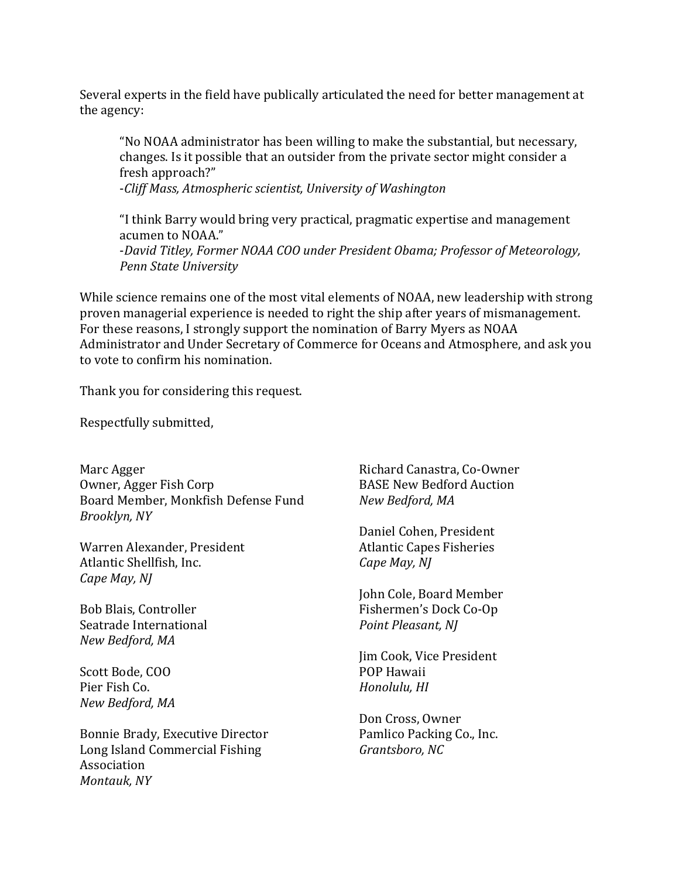Several experts in the field have publically articulated the need for better management at the agency:

"No NOAA administrator has been willing to make the substantial, but necessary, changes. Is it possible that an outsider from the private sector might consider a fresh approach?"

-*Cliff Mass, Atmospheric scientist, University of Washington*

"I think Barry would bring very practical, pragmatic expertise and management acumen to NOAA." -*David Titley, Former NOAA COO under President Obama; Professor of Meteorology, Penn State University*

While science remains one of the most vital elements of NOAA, new leadership with strong proven managerial experience is needed to right the ship after years of mismanagement. For these reasons, I strongly support the nomination of Barry Myers as NOAA Administrator and Under Secretary of Commerce for Oceans and Atmosphere, and ask you to vote to confirm his nomination.

Thank you for considering this request.

Respectfully submitted,

Marc Agger Owner, Agger Fish Corp Board Member, Monkfish Defense Fund *Brooklyn, NY* 

Warren Alexander, President Atlantic Shellfish, Inc. *Cape May, NJ* 

Bob Blais, Controller Seatrade International *New Bedford, MA*

Scott Bode, COO Pier Fish Co. *New Bedford, MA*

Bonnie Brady, Executive Director Long Island Commercial Fishing Association *Montauk, NY*

Richard Canastra, Co-Owner BASE New Bedford Auction *New Bedford, MA*

Daniel Cohen, President **Atlantic Capes Fisheries** *Cape May, NJ* 

John Cole, Board Member Fishermen's Dock Co-Op *Point Pleasant, NJ*

Jim Cook, Vice President POP Hawaii *Honolulu, HI*

Don Cross, Owner Pamlico Packing Co., Inc. Grantsboro, NC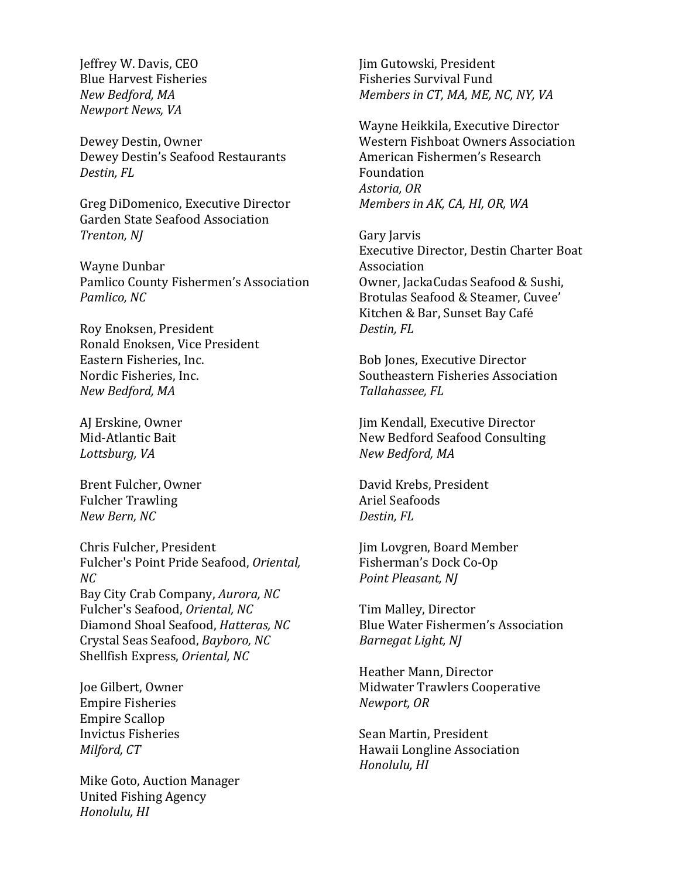Jeffrey W. Davis, CEO Blue Harvest Fisheries *New Bedford, MA Newport News, VA*

Dewey Destin, Owner Dewey Destin's Seafood Restaurants *Destin, FL*

Greg DiDomenico, Executive Director Garden State Seafood Association *Trenton, NJ*

Wayne Dunbar Pamlico County Fishermen's Association **Pamlico, NC** 

Roy Enoksen, President Ronald Enoksen, Vice President Eastern Fisheries, Inc. Nordic Fisheries, Inc. *New Bedford, MA*

AJ Erskine, Owner Mid-Atlantic Bait Lottsburg, VA

Brent Fulcher, Owner Fulcher Trawling *New Bern, NC*

Chris Fulcher, President Fulcher's Point Pride Seafood, Oriental, *NC* Bay City Crab Company, *Aurora*, NC Fulcher's Seafood, Oriental, NC Diamond Shoal Seafood, *Hatteras, NC* Crystal Seas Seafood, *Bayboro, NC* Shellfish Express, Oriental, NC

Joe Gilbert, Owner **Empire Fisheries** Empire Scallop Invictus Fisheries *Milford, CT*

Mike Goto, Auction Manager United Fishing Agency *Honolulu, HI*

Jim Gutowski, President Fisheries Survival Fund *Members in CT, MA, ME, NC, NY, VA* 

Wayne Heikkila, Executive Director Western Fishboat Owners Association American Fishermen's Research Foundation *Astoria, OR Members in AK, CA, HI, OR, WA* 

Gary Jarvis Executive Director, Destin Charter Boat Association Owner, JackaCudas Seafood & Sushi, Brotulas Seafood & Steamer, Cuvee' Kitchen & Bar, Sunset Bay Café *Destin, FL*

Bob Jones, Executive Director Southeastern Fisheries Association *Tallahassee, FL*

Jim Kendall, Executive Director New Bedford Seafood Consulting *New Bedford, MA*

David Krebs, President Ariel Seafoods *Destin, FL*

Jim Lovgren, Board Member Fisherman's Dock Co-Op *Point Pleasant, NJ*

Tim Malley, Director Blue Water Fishermen's Association *Barnegat Light, NJ* 

Heather Mann, Director Midwater Trawlers Cooperative *Newport, OR*

Sean Martin, President Hawaii Longline Association *Honolulu, HI*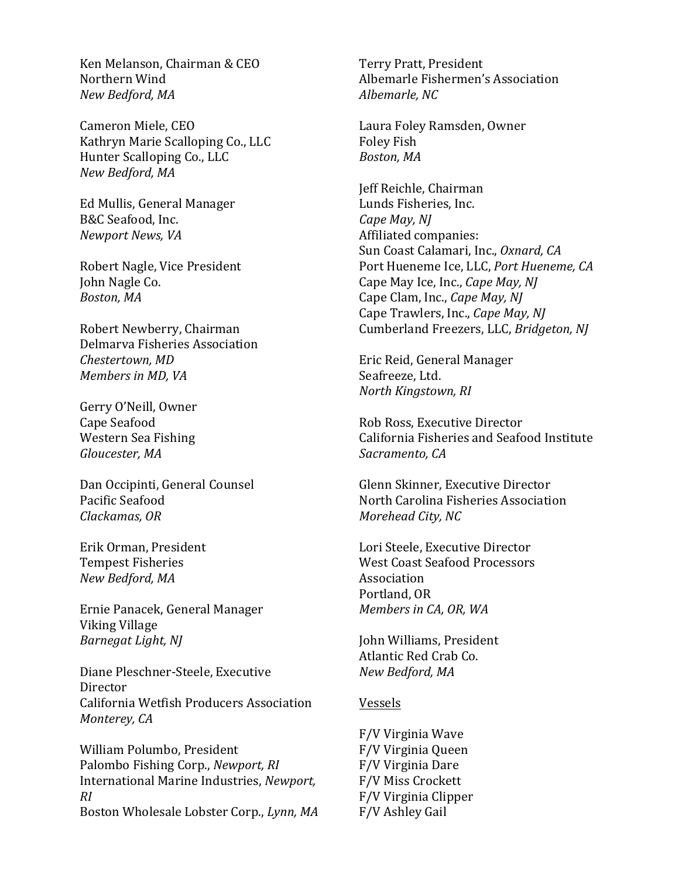Ken Melanson, Chairman & CEO Northern Wind *New Bedford, MA*

Cameron Miele, CEO Kathryn Marie Scalloping Co., LLC Hunter Scalloping Co., LLC *New Bedford, MA*

Ed Mullis, General Manager B&C Seafood, Inc. *Newport News, VA*

Robert Nagle, Vice President John Nagle Co. Boston, MA

Robert Newberry, Chairman Delmarva Fisheries Association *Chestertown, MD Members in MD, VA* 

Gerry O'Neill, Owner Cape Seafood Western Sea Fishing Gloucester, MA

Dan Occipinti, General Counsel Pacific Seafood *Clackamas, OR*

Erik Orman, President Tempest Fisheries *New Bedford, MA*

Ernie Panacek, General Manager Viking Village *Barnegat Light, NJ* 

Diane Pleschner-Steele, Executive **Director** California Wetfish Producers Association *Monterey, CA* 

William Polumbo, President Palombo Fishing Corp., *Newport*, *RI* International Marine Industries, *Newport*, *RI* Boston Wholesale Lobster Corp., *Lynn, MA* 

Terry Pratt, President Albemarle Fishermen's Association *Albemarle, NC*

Laura Foley Ramsden, Owner Foley Fish *Boston, MA*

Jeff Reichle, Chairman Lunds Fisheries, Inc. *Cape May, NJ* Affiliated companies: Sun Coast Calamari, Inc., *Oxnard, CA* Port Hueneme Ice, LLC, Port Hueneme, CA Cape May Ice, Inc., *Cape May, NJ* Cape Clam, Inc., *Cape May, NJ* Cape Trawlers, Inc., *Cape May, NJ* Cumberland Freezers, LLC, *Bridgeton, NJ* 

Eric Reid, General Manager Seafreeze, Ltd. *North Kingstown, RI*

Rob Ross, Executive Director California Fisheries and Seafood Institute Sacramento, CA

Glenn Skinner, Executive Director North Carolina Fisheries Association *Morehead City, NC*

Lori Steele, Executive Director West Coast Seafood Processors Association Portland, OR *Members in CA, OR, WA* 

John Williams, President Atlantic Red Crab Co. *New Bedford, MA*

## Vessels

F/V Virginia Wave F/V Virginia Queen F/V Virginia Dare F/V Miss Crockett F/V Virginia Clipper F/V Ashley Gail